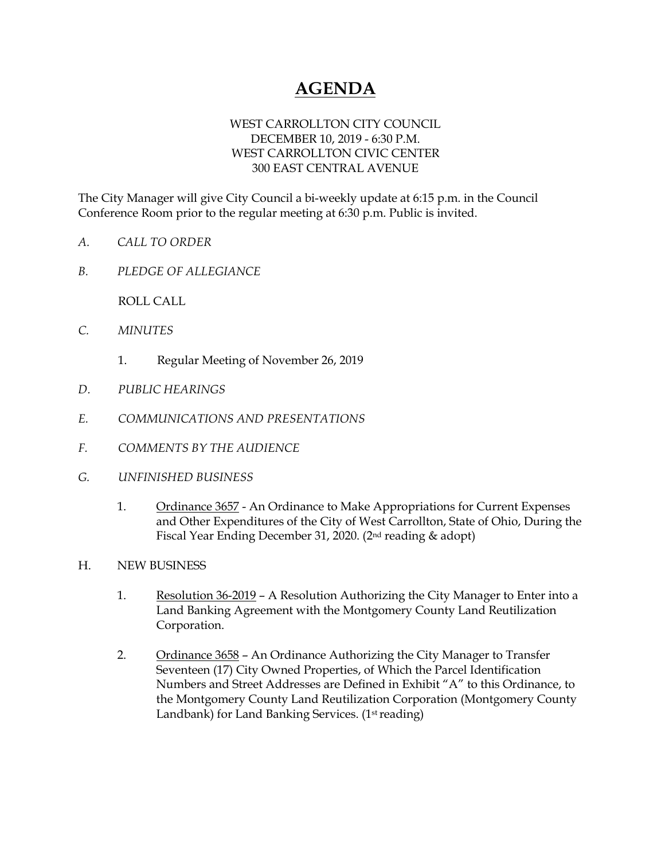## **AGENDA**

## WEST CARROLLTON CITY COUNCIL DECEMBER 10, 2019 - 6:30 P.M. WEST CARROLLTON CIVIC CENTER 300 EAST CENTRAL AVENUE

The City Manager will give City Council a bi-weekly update at 6:15 p.m. in the Council Conference Room prior to the regular meeting at 6:30 p.m. Public is invited.

- *A. CALL TO ORDER*
- *B. PLEDGE OF ALLEGIANCE*

ROLL CALL

- *C. MINUTES* 
	- 1. Regular Meeting of November 26, 2019
- *D. PUBLIC HEARINGS*
- *E. COMMUNICATIONS AND PRESENTATIONS*
- *F. COMMENTS BY THE AUDIENCE*
- *G. UNFINISHED BUSINESS* 
	- 1. Ordinance 3657 An Ordinance to Make Appropriations for Current Expenses and Other Expenditures of the City of West Carrollton, State of Ohio, During the Fiscal Year Ending December 31, 2020. (2nd reading & adopt)
- H. NEW BUSINESS
	- 1. Resolution 36-2019 A Resolution Authorizing the City Manager to Enter into a Land Banking Agreement with the Montgomery County Land Reutilization Corporation.
	- 2. Ordinance 3658 An Ordinance Authorizing the City Manager to Transfer Seventeen (17) City Owned Properties, of Which the Parcel Identification Numbers and Street Addresses are Defined in Exhibit "A" to this Ordinance, to the Montgomery County Land Reutilization Corporation (Montgomery County Landbank) for Land Banking Services. (1<sup>st</sup> reading)